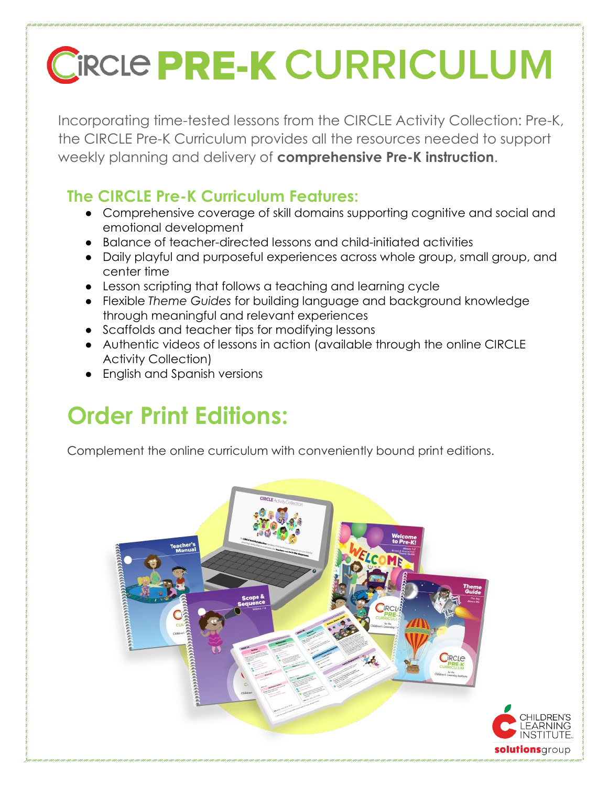# **CIRCLE PRE-K CURRICULUM**

Incorporating time-tested lessons from the CIRCLE Activity Collection: Pre-K, the CIRCLE Pre-K Curriculum provides all the resources needed to support weekly planning and delivery of **comprehensive Pre-K instruction**.

### **The CIRCLE Pre-K Curriculum Features:**

- Comprehensive coverage of skill domains supporting cognitive and social and emotional development
- Balance of teacher-directed lessons and child-initiated activities
- Daily playful and purposeful experiences across whole group, small group, and center time
- Lesson scripting that follows a teaching and learning cycle
- Flexible *Theme Guides* for building language and background knowledge through meaningful and relevant experiences
- Scaffolds and teacher tips for modifying lessons
- Authentic videos of lessons in action (available through the online CIRCLE Activity Collection)
- English and Spanish versions

## **Order Print Editions:**

Complement the online curriculum with conveniently bound print editions.

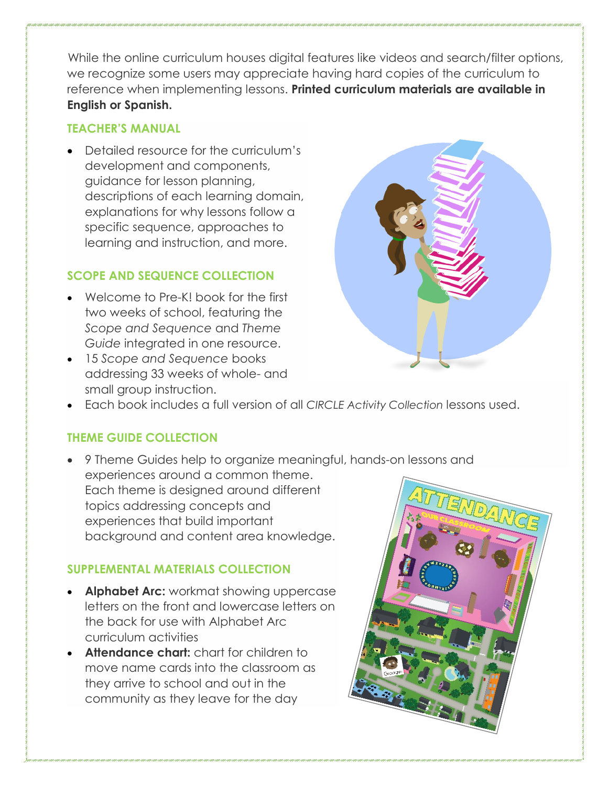While the online curriculum houses digital features like videos and search/filter options, we recognize some users may appreciate having hard copies of the curriculum to reference when implementing lessons. **Printed curriculum materials are available in English or Spanish.**

#### **TEACHER'S MANUAL**

• Detailed resource for the curriculum's development and components, guidance for lesson planning, descriptions of each learning domain, explanations for why lessons follow a specific sequence, approaches to learning and instruction, and more.

#### **SCOPE AND SEQUENCE COLLECTION**

- Welcome to Pre-K! book for the first two weeks of school, featuring the *Scope and Sequence* and *Theme Guide* integrated in one resource.
- 15 *Scope and Sequence* books addressing 33 weeks of whole- and small group instruction.



• Each book includes a full version of all *CIRCLE Activity Collection* lessons used.

#### **THEME GUIDE COLLECTION**

• 9 Theme Guides help to organize meaningful, hands-on lessons and experiences around a common theme. Each theme is designed around different topics addressing concepts and experiences that build important background and content area knowledge.

#### **SUPPLEMENTAL MATERIALS COLLECTION**

- **Alphabet Arc:** workmat showing uppercase letters on the front and lowercase letters on the back for use with Alphabet Arc curriculum activities
- **Attendance chart:** chart for children to move name cards into the classroom as they arrive to school and out in the community as they leave for the day

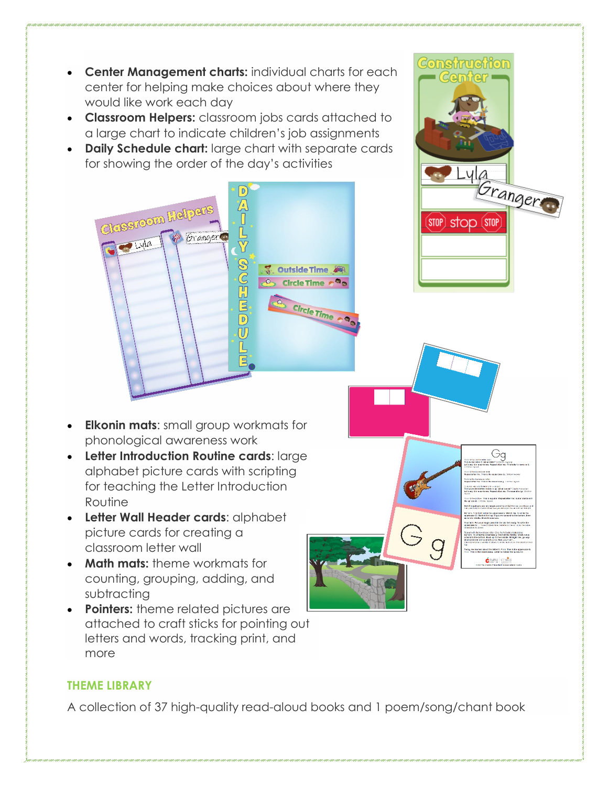

#### **THEME LIBRARY**

A collection of 37 high-quality read-aloud books and 1 poem/song/chant book